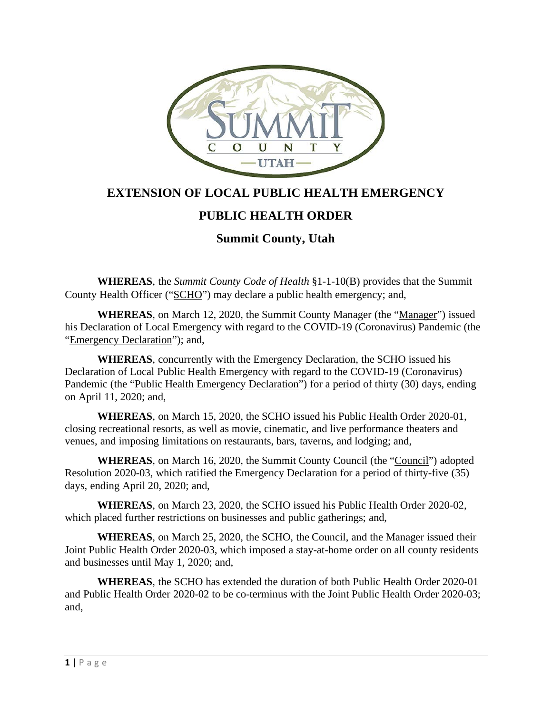

## **EXTENSION OF LOCAL PUBLIC HEALTH EMERGENCY**

## **PUBLIC HEALTH ORDER**

## **Summit County, Utah**

**WHEREAS**, the *Summit County Code of Health* §1-1-10(B) provides that the Summit County Health Officer ("SCHO") may declare a public health emergency; and,

**WHEREAS**, on March 12, 2020, the Summit County Manager (the "Manager") issued his Declaration of Local Emergency with regard to the COVID-19 (Coronavirus) Pandemic (the "Emergency Declaration"); and,

**WHEREAS**, concurrently with the Emergency Declaration, the SCHO issued his Declaration of Local Public Health Emergency with regard to the COVID-19 (Coronavirus) Pandemic (the "Public Health Emergency Declaration") for a period of thirty (30) days, ending on April 11, 2020; and,

**WHEREAS**, on March 15, 2020, the SCHO issued his Public Health Order 2020-01, closing recreational resorts, as well as movie, cinematic, and live performance theaters and venues, and imposing limitations on restaurants, bars, taverns, and lodging; and,

**WHEREAS**, on March 16, 2020, the Summit County Council (the "Council") adopted Resolution 2020-03, which ratified the Emergency Declaration for a period of thirty-five (35) days, ending April 20, 2020; and,

**WHEREAS**, on March 23, 2020, the SCHO issued his Public Health Order 2020-02, which placed further restrictions on businesses and public gatherings; and,

**WHEREAS**, on March 25, 2020, the SCHO, the Council, and the Manager issued their Joint Public Health Order 2020-03, which imposed a stay-at-home order on all county residents and businesses until May 1, 2020; and,

**WHEREAS**, the SCHO has extended the duration of both Public Health Order 2020-01 and Public Health Order 2020-02 to be co-terminus with the Joint Public Health Order 2020-03; and,